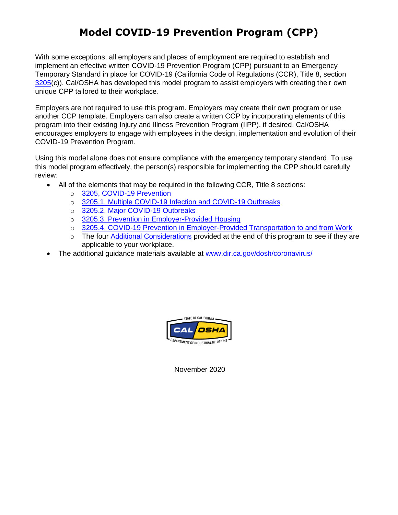# **Model COVID-19 Prevention Program (CPP)**

With some exceptions, all employers and places of employment are required to establish and implement an effective written COVID-19 Prevention Program (CPP) pursuant to an Emergency Temporary Standard in place for COVID-19 (California Code of Regulations (CCR), Title 8, section [3205\(](https://www.dir.ca.gov/title8/3205.html)c)). Cal/OSHA has developed this model program to assist employers with creating their own unique CPP tailored to their workplace.

Employers are not required to use this program. Employers may create their own program or use another CCP template. Employers can also create a written CCP by incorporating elements of this program into their existing Injury and Illness Prevention Program (IIPP), if desired. Cal/OSHA encourages employers to engage with employees in the design, implementation and evolution of their COVID-19 Prevention Program.

Using this model alone does not ensure compliance with the emergency temporary standard. To use this model program effectively, the person(s) responsible for implementing the CPP should carefully review:

- All of the elements that may be required in the following CCR, Title 8 sections:
	- o [3205, COVID-19 Prevention](https://www.dir.ca.gov/title8/3205.html)
	- o [3205.1, Multiple COVID-19 Infection and COVID-19 Outbreaks](https://www.dir.ca.gov/title8/3205_1.html)
	- o [3205.2, Major COVID-19 Outbreaks](https://www.dir.ca.gov/title8/3205_2.html)
	- o [3205.3, Prevention in Employer-Provided Housing](https://www.dir.ca.gov/title8/3205_3.html)
	- o [3205.4, COVID-19 Prevention in Employer-Provided Transportation to and from Work](https://www.dir.ca.gov/title8/3205_4.html)
	- o The four Additional Considerations provided at the end of this program to see if they are applicable to your workplace.
- The additional guidance materials available at [www.dir.ca.gov/dosh/coronavirus/](file:///F:/emergency%20covid%20standard/www.dir.ca.gov/dosh/coronavirus/)



November 2020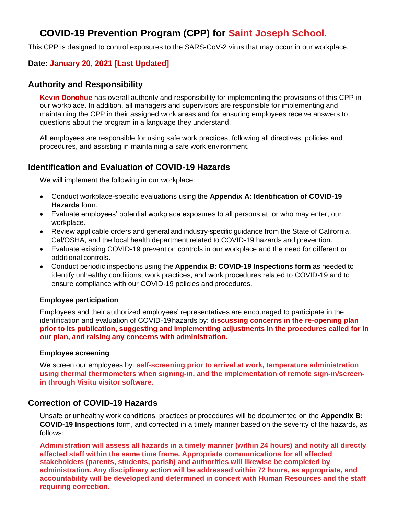# **COVID-19 Prevention Program (CPP) for Saint Joseph School.**

This CPP is designed to control exposures to the SARS-CoV-2 virus that may occur in our workplace.

### **Date: January 20, 2021 [Last Updated]**

### **Authority and Responsibility**

**Kevin Donohue** has overall authority and responsibility for implementing the provisions of this CPP in our workplace. In addition, all managers and supervisors are responsible for implementing and maintaining the CPP in their assigned work areas and for ensuring employees receive answers to questions about the program in a language they understand.

All employees are responsible for using safe work practices, following all directives, policies and procedures, and assisting in maintaining a safe work environment.

## **Identification and Evaluation of COVID-19 Hazards**

We will implement the following in our workplace:

- Conduct workplace-specific evaluations using the **Appendix A: Identification of COVID-19 Hazards** form.
- Evaluate employees' potential workplace exposures to all persons at, or who may enter, our workplace.
- Review applicable orders and general and industry-specific guidance from the State of California, Cal/OSHA, and the local health department related to COVID-19 hazards and prevention.
- Evaluate existing COVID-19 prevention controls in our workplace and the need for different or additional controls.
- Conduct periodic inspections using the **Appendix B: COVID-19 Inspections form** as needed to identify unhealthy conditions, work practices, and work procedures related to COVID-19 and to ensure compliance with our COVID-19 policies and procedures.

#### **Employee participation**

Employees and their authorized employees' representatives are encouraged to participate in the identification and evaluation of COVID-19hazards by: **discussing concerns in the re-opening plan prior to its publication, suggesting and implementing adjustments in the procedures called for in our plan, and raising any concerns with administration.**

#### **Employee screening**

We screen our employees by: **self-screening prior to arrival at work, temperature administration using thermal thermometers when signing-in, and the implementation of remote sign-in/screenin through Visitu visitor software.**

### **Correction of COVID-19 Hazards**

Unsafe or unhealthy work conditions, practices or procedures will be documented on the **Appendix B: COVID-19 Inspections** form, and corrected in a timely manner based on the severity of the hazards, as follows:

**Administration will assess all hazards in a timely manner (within 24 hours) and notify all directly affected staff within the same time frame. Appropriate communications for all affected stakeholders (parents, students, parish) and authorities will likewise be completed by administration. Any disciplinary action will be addressed within 72 hours, as appropriate, and accountability will be developed and determined in concert with Human Resources and the staff requiring correction.**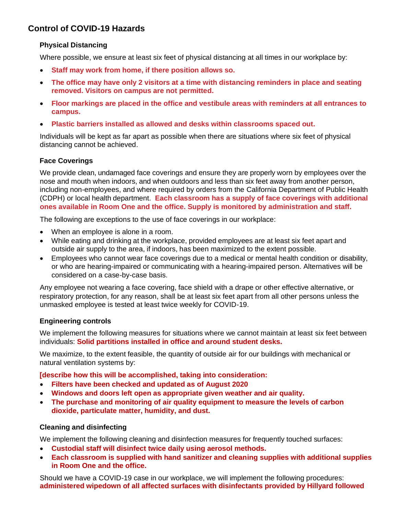# **Control of COVID-19 Hazards**

#### **Physical Distancing**

Where possible, we ensure at least six feet of physical distancing at all times in our workplace by:

- **Staff may work from home, if there position allows so.**
- **The office may have only 2 visitors at a time with distancing reminders in place and seating removed. Visitors on campus are not permitted.**
- **Floor markings are placed in the office and vestibule areas with reminders at all entrances to campus.**
- **Plastic barriers installed as allowed and desks within classrooms spaced out.**

Individuals will be kept as far apart as possible when there are situations where six feet of physical distancing cannot be achieved.

### **Face Coverings**

We provide clean, undamaged face coverings and ensure they are properly worn by employees over the nose and mouth when indoors, and when outdoors and less than six feet away from another person, including non-employees, and where required by orders from the California Department of Public Health (CDPH) or local health department. **Each classroom has a supply of face coverings with additional ones available in Room One and the office. Supply is monitored by administration and staff.**

The following are exceptions to the use of face coverings in our workplace:

- When an employee is alone in a room.
- While eating and drinking at the workplace, provided employees are at least six feet apart and outside air supply to the area, if indoors, has been maximized to the extent possible.
- Employees who cannot wear face coverings due to a medical or mental health condition or disability, or who are hearing-impaired or communicating with a hearing-impaired person. Alternatives will be considered on a case-by-case basis.

Any employee not wearing a face covering, face shield with a drape or other effective alternative, or respiratory protection, for any reason, shall be at least six feet apart from all other persons unless the unmasked employee is tested at least twice weekly for COVID-19.

#### **Engineering controls**

We implement the following measures for situations where we cannot maintain at least six feet between individuals: **Solid partitions installed in office and around student desks.**

We maximize, to the extent feasible, the quantity of outside air for our buildings with mechanical or natural ventilation systems by:

**[describe how this will be accomplished, taking into consideration:**

- **Filters have been checked and updated as of August 2020**
- **Windows and doors left open as appropriate given weather and air quality.**
- **The purchase and monitoring of air quality equipment to measure the levels of carbon dioxide, particulate matter, humidity, and dust.**

#### **Cleaning and disinfecting**

We implement the following cleaning and disinfection measures for frequently touched surfaces:

- **Custodial staff will disinfect twice daily using aerosol methods.**
- **Each classroom is supplied with hand sanitizer and cleaning supplies with additional supplies in Room One and the office.**

Should we have a COVID-19 case in our workplace, we will implement the following procedures: **administered wipedown of all affected surfaces with disinfectants provided by Hillyard followed**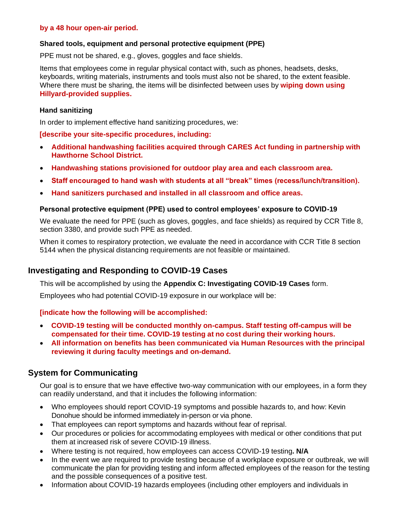#### **by a 48 hour open-air period.**

#### **Shared tools, equipment and personal protective equipment (PPE)**

PPE must not be shared, e.g., gloves, goggles and face shields.

Items that employees come in regular physical contact with, such as phones, headsets, desks, keyboards, writing materials, instruments and tools must also not be shared, to the extent feasible. Where there must be sharing, the items will be disinfected between uses by **wiping down using Hillyard-provided supplies.**

#### **Hand sanitizing**

In order to implement effective hand sanitizing procedures, we:

#### **[describe your site-specific procedures, including:**

- **Additional handwashing facilities acquired through CARES Act funding in partnership with Hawthorne School District.**
- **Handwashing stations provisioned for outdoor play area and each classroom area.**
- **Staff encouraged to hand wash with students at all "break" times (recess/lunch/transition).**
- **Hand sanitizers purchased and installed in all classroom and office areas.**

#### **Personal protective equipment (PPE) used to control employees' exposure to COVID-19**

We evaluate the need for PPE (such as gloves, goggles, and face shields) as required by CCR Title 8, section 3380, and provide such PPE as needed.

When it comes to respiratory protection, we evaluate the need in accordance with CCR Title 8 section 5144 when the physical distancing requirements are not feasible or maintained.

## **Investigating and Responding to COVID-19 Cases**

This will be accomplished by using the **Appendix C: Investigating COVID-19 Cases** form.

Employees who had potential COVID-19 exposure in our workplace will be:

#### **[indicate how the following will be accomplished:**

- **COVID-19 testing will be conducted monthly on-campus. Staff testing off-campus will be compensated for their time. COVID-19 testing at no cost during their working hours.**
- **All information on benefits has been communicated via Human Resources with the principal reviewing it during faculty meetings and on-demand.**

### **System for Communicating**

Our goal is to ensure that we have effective two-way communication with our employees, in a form they can readily understand, and that it includes the following information:

- Who employees should report COVID-19 symptoms and possible hazards to, and how: Kevin Donohue should be informed immediately in-person or via phone.
- That employees can report symptoms and hazards without fear of reprisal.
- Our procedures or policies for accommodating employees with medical or other conditions that put them at increased risk of severe COVID-19 illness.
- Where testing is not required, how employees can access COVID-19 testing**. N/A**
- In the event we are required to provide testing because of a workplace exposure or outbreak, we will communicate the plan for providing testing and inform affected employees of the reason for the testing and the possible consequences of a positive test.
- Information about COVID-19 hazards employees (including other employers and individuals in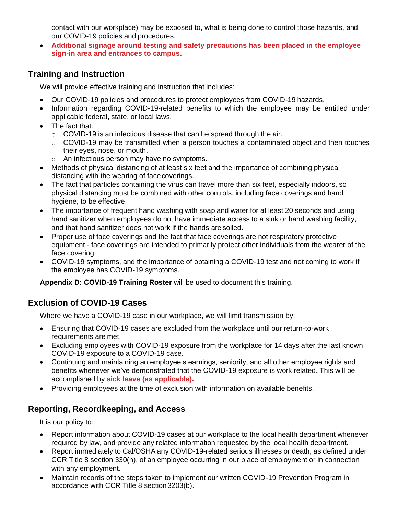contact with our workplace) may be exposed to, what is being done to control those hazards, and our COVID-19 policies and procedures.

• **Additional signage around testing and safety precautions has been placed in the employee sign-in area and entrances to campus.**

# **Training and Instruction**

We will provide effective training and instruction that includes:

- Our COVID-19 policies and procedures to protect employees from COVID-19 hazards.
- Information regarding COVID-19-related benefits to which the employee may be entitled under applicable federal, state, or local laws.
- The fact that:
	- o COVID-19 is an infectious disease that can be spread through the air.
	- $\circ$  COVID-19 may be transmitted when a person touches a contaminated object and then touches their eyes, nose, or mouth.
	- o An infectious person may have no symptoms.
- Methods of physical distancing of at least six feet and the importance of combining physical distancing with the wearing of face coverings.
- The fact that particles containing the virus can travel more than six feet, especially indoors, so physical distancing must be combined with other controls, including face coverings and hand hygiene, to be effective.
- The importance of frequent hand washing with soap and water for at least 20 seconds and using hand sanitizer when employees do not have immediate access to a sink or hand washing facility, and that hand sanitizer does not work if the hands are soiled.
- Proper use of face coverings and the fact that face coverings are not respiratory protective equipment - face coverings are intended to primarily protect other individuals from the wearer of the face covering.
- COVID-19 symptoms, and the importance of obtaining a COVID-19 test and not coming to work if the employee has COVID-19 symptoms.

**Appendix D: COVID-19 Training Roster** will be used to document this training.

# **Exclusion of COVID-19 Cases**

Where we have a COVID-19 case in our workplace, we will limit transmission by:

- Ensuring that COVID-19 cases are excluded from the workplace until our return-to-work requirements are met.
- Excluding employees with COVID-19 exposure from the workplace for 14 days after the last known COVID-19 exposure to a COVID-19 case.
- Continuing and maintaining an employee's earnings, seniority, and all other employee rights and benefits whenever we've demonstrated that the COVID-19 exposure is work related. This will be accomplished by **sick leave (as applicable).**
- Providing employees at the time of exclusion with information on available benefits.

# **Reporting, Recordkeeping, and Access**

It is our policy to:

- Report information about COVID-19 cases at our workplace to the local health department whenever required by law, and provide any related information requested by the local health department.
- Report immediately to Cal/OSHA any COVID-19-related serious illnesses or death, as defined under CCR Title 8 section 330(h), of an employee occurring in our place of employment or in connection with any employment.
- Maintain records of the steps taken to implement our written COVID-19 Prevention Program in accordance with CCR Title 8 section3203(b).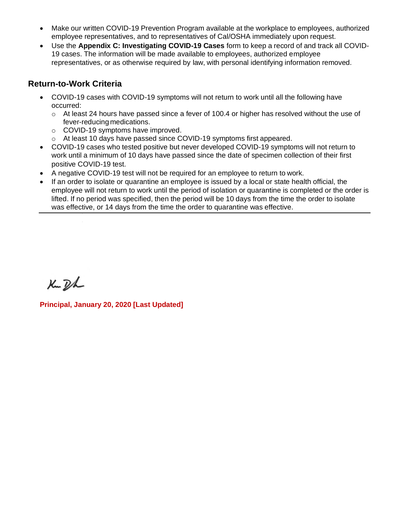- Make our written COVID-19 Prevention Program available at the workplace to employees, authorized employee representatives, and to representatives of Cal/OSHA immediately upon request.
- Use the **Appendix C: Investigating COVID-19 Cases** form to keep a record of and track all COVID-19 cases. The information will be made available to employees, authorized employee representatives, or as otherwise required by law, with personal identifying information removed.

# **Return-to-Work Criteria**

- COVID-19 cases with COVID-19 symptoms will not return to work until all the following have occurred:
	- $\circ$  At least 24 hours have passed since a fever of 100.4 or higher has resolved without the use of fever-reducing medications.
	- o COVID-19 symptoms have improved.
	- o At least 10 days have passed since COVID-19 symptoms first appeared.
- COVID-19 cases who tested positive but never developed COVID-19 symptoms will not return to work until a minimum of 10 days have passed since the date of specimen collection of their first positive COVID-19 test.
- A negative COVID-19 test will not be required for an employee to return to work.
- If an order to isolate or quarantine an employee is issued by a local or state health official, the employee will not return to work until the period of isolation or quarantine is completed or the order is lifted. If no period was specified, then the period will be 10 days from the time the order to isolate was effective, or 14 days from the time the order to quarantine was effective.

Ku Dh

**Principal, January 20, 2020 [Last Updated]**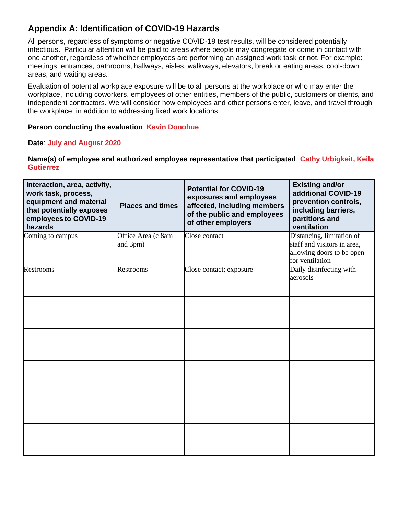# **Appendix A: Identification of COVID-19 Hazards**

All persons, regardless of symptoms or negative COVID-19 test results, will be considered potentially infectious. Particular attention will be paid to areas where people may congregate or come in contact with one another, regardless of whether employees are performing an assigned work task or not. For example: meetings, entrances, bathrooms, hallways, aisles, walkways, elevators, break or eating areas, cool-down areas, and waiting areas.

Evaluation of potential workplace exposure will be to all persons at the workplace or who may enter the workplace, including coworkers, employees of other entities, members of the public, customers or clients, and independent contractors. We will consider how employees and other persons enter, leave, and travel through the workplace, in addition to addressing fixed work locations.

#### **Person conducting the evaluation**: **Kevin Donohue**

#### **Date**: **July and August 2020**

**Name(s) of employee and authorized employee representative that participated**: **Cathy Urbigkeit, Keila Gutierrez**

| Interaction, area, activity,<br>work task, process,<br>equipment and material<br>that potentially exposes<br>employees to COVID-19<br>hazards | <b>Places and times</b>        | <b>Potential for COVID-19</b><br>exposures and employees<br>affected, including members<br>of the public and employees<br>of other employers | <b>Existing and/or</b><br>additional COVID-19<br>prevention controls,<br>including barriers,<br>partitions and<br>ventilation |
|-----------------------------------------------------------------------------------------------------------------------------------------------|--------------------------------|----------------------------------------------------------------------------------------------------------------------------------------------|-------------------------------------------------------------------------------------------------------------------------------|
| Coming to campus                                                                                                                              | Office Area (c 8am<br>and 3pm) | Close contact                                                                                                                                | Distancing, limitation of<br>staff and visitors in area,<br>allowing doors to be open<br>for ventilation                      |
| <b>Restrooms</b>                                                                                                                              | <b>Restrooms</b>               | Close contact; exposure                                                                                                                      | Daily disinfecting with<br>aerosols                                                                                           |
|                                                                                                                                               |                                |                                                                                                                                              |                                                                                                                               |
|                                                                                                                                               |                                |                                                                                                                                              |                                                                                                                               |
|                                                                                                                                               |                                |                                                                                                                                              |                                                                                                                               |
|                                                                                                                                               |                                |                                                                                                                                              |                                                                                                                               |
|                                                                                                                                               |                                |                                                                                                                                              |                                                                                                                               |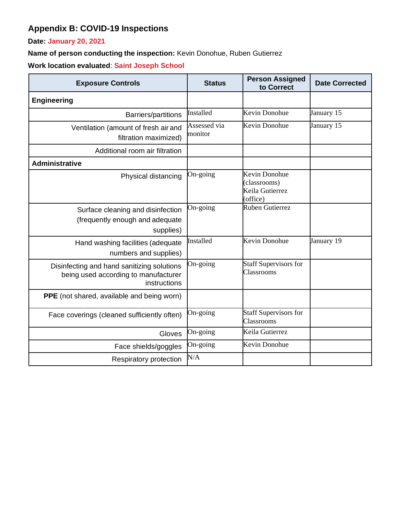# **Appendix B: COVID-19 Inspections**

**Date: January 20, 2021**

**Name of person conducting the inspection:** Kevin Donohue, Ruben Gutierrez

**Work location evaluated**: **Saint Joseph School**

| <b>Exposure Controls</b>                                                                           | <b>Status</b>           | <b>Person Assigned</b><br>to Correct                         | <b>Date Corrected</b> |
|----------------------------------------------------------------------------------------------------|-------------------------|--------------------------------------------------------------|-----------------------|
| <b>Engineering</b>                                                                                 |                         |                                                              |                       |
| Barriers/partitions                                                                                | Installed               | Kevin Donohue                                                | January 15            |
| Ventilation (amount of fresh air and<br>filtration maximized)                                      | Assessed via<br>monitor | Kevin Donohue                                                | January 15            |
| Additional room air filtration                                                                     |                         |                                                              |                       |
| <b>Administrative</b>                                                                              |                         |                                                              |                       |
| Physical distancing                                                                                | On-going                | Kevin Donohue<br>(classrooms)<br>Keila Gutierrez<br>(office) |                       |
| Surface cleaning and disinfection<br>(frequently enough and adequate<br>supplies)                  | On-going                | <b>Ruben Gutierrez</b>                                       |                       |
| Hand washing facilities (adequate<br>numbers and supplies)                                         | Installed               | Kevin Donohue                                                | January 19            |
| Disinfecting and hand sanitizing solutions<br>being used according to manufacturer<br>instructions | On-going                | <b>Staff Supervisors for</b><br>Classrooms                   |                       |
| <b>PPE</b> (not shared, available and being worn)                                                  |                         |                                                              |                       |
| Face coverings (cleaned sufficiently often)                                                        | On-going                | <b>Staff Supervisors for</b><br>Classrooms                   |                       |
| Gloves                                                                                             | On-going                | Keila Gutierrez                                              |                       |
| Face shields/goggles                                                                               | On-going                | Kevin Donohue                                                |                       |
| Respiratory protection                                                                             | N/A                     |                                                              |                       |